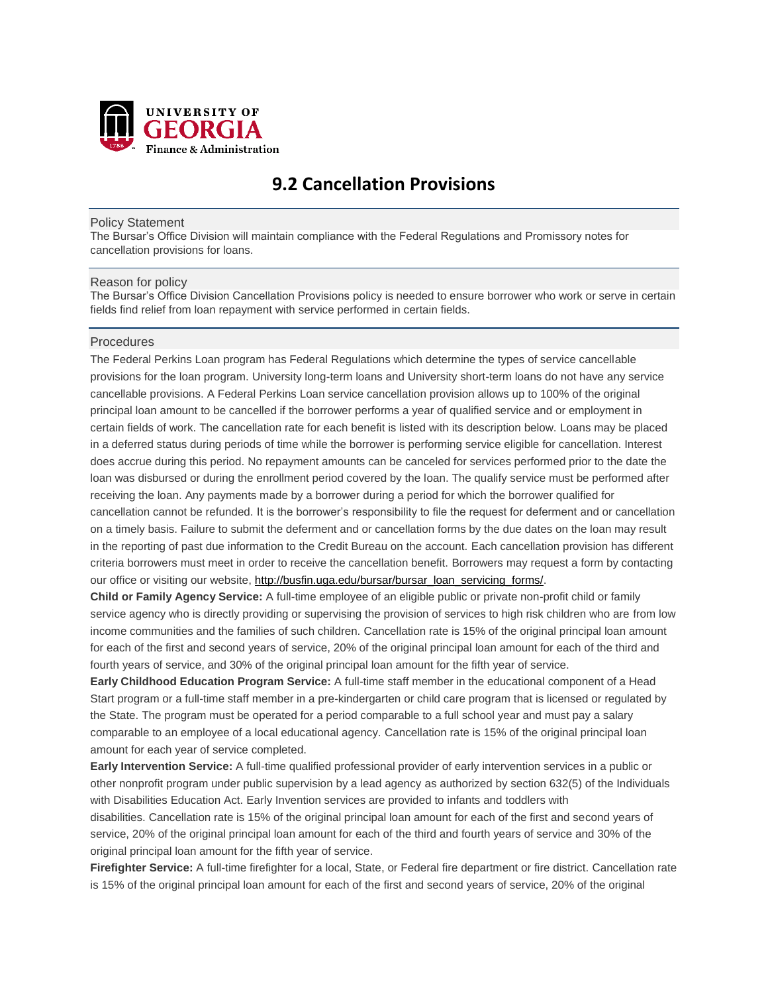

# **9.2 Cancellation Provisions**

#### Policy Statement

The Bursar's Office Division will maintain compliance with the Federal Regulations and Promissory notes for cancellation provisions for loans.

#### Reason for policy

The Bursar's Office Division Cancellation Provisions policy is needed to ensure borrower who work or serve in certain fields find relief from loan repayment with service performed in certain fields.

#### **Procedures**

The Federal Perkins Loan program has Federal Regulations which determine the types of service cancellable provisions for the loan program. University long-term loans and University short-term loans do not have any service cancellable provisions. A Federal Perkins Loan service cancellation provision allows up to 100% of the original principal loan amount to be cancelled if the borrower performs a year of qualified service and or employment in certain fields of work. The cancellation rate for each benefit is listed with its description below. Loans may be placed in a deferred status during periods of time while the borrower is performing service eligible for cancellation. Interest does accrue during this period. No repayment amounts can be canceled for services performed prior to the date the loan was disbursed or during the enrollment period covered by the loan. The qualify service must be performed after receiving the loan. Any payments made by a borrower during a period for which the borrower qualified for cancellation cannot be refunded. It is the borrower's responsibility to file the request for deferment and or cancellation on a timely basis. Failure to submit the deferment and or cancellation forms by the due dates on the loan may result in the reporting of past due information to the Credit Bureau on the account. Each cancellation provision has different criteria borrowers must meet in order to receive the cancellation benefit. Borrowers may request a form by contacting our office or visiting our website, [http://busfin.uga.edu/bursar/bursar\\_loan\\_servicing\\_forms/.](http://busfin.uga.edu/bursar/bursar_loan_servicing_forms/)

**Child or Family Agency Service:** A full-time employee of an eligible public or private non-profit child or family service agency who is directly providing or supervising the provision of services to high risk children who are from low income communities and the families of such children. Cancellation rate is 15% of the original principal loan amount for each of the first and second years of service, 20% of the original principal loan amount for each of the third and fourth years of service, and 30% of the original principal loan amount for the fifth year of service.

**Early Childhood Education Program Service:** A full-time staff member in the educational component of a Head Start program or a full-time staff member in a pre-kindergarten or child care program that is licensed or regulated by the State. The program must be operated for a period comparable to a full school year and must pay a salary comparable to an employee of a local educational agency. Cancellation rate is 15% of the original principal loan amount for each year of service completed.

**Early Intervention Service:** A full-time qualified professional provider of early intervention services in a public or other nonprofit program under public supervision by a lead agency as authorized by section 632(5) of the Individuals with Disabilities Education Act. Early Invention services are provided to infants and toddlers with disabilities. Cancellation rate is 15% of the original principal loan amount for each of the first and second years of

service, 20% of the original principal loan amount for each of the third and fourth years of service and 30% of the original principal loan amount for the fifth year of service.

**Firefighter Service:** A full-time firefighter for a local, State, or Federal fire department or fire district. Cancellation rate is 15% of the original principal loan amount for each of the first and second years of service, 20% of the original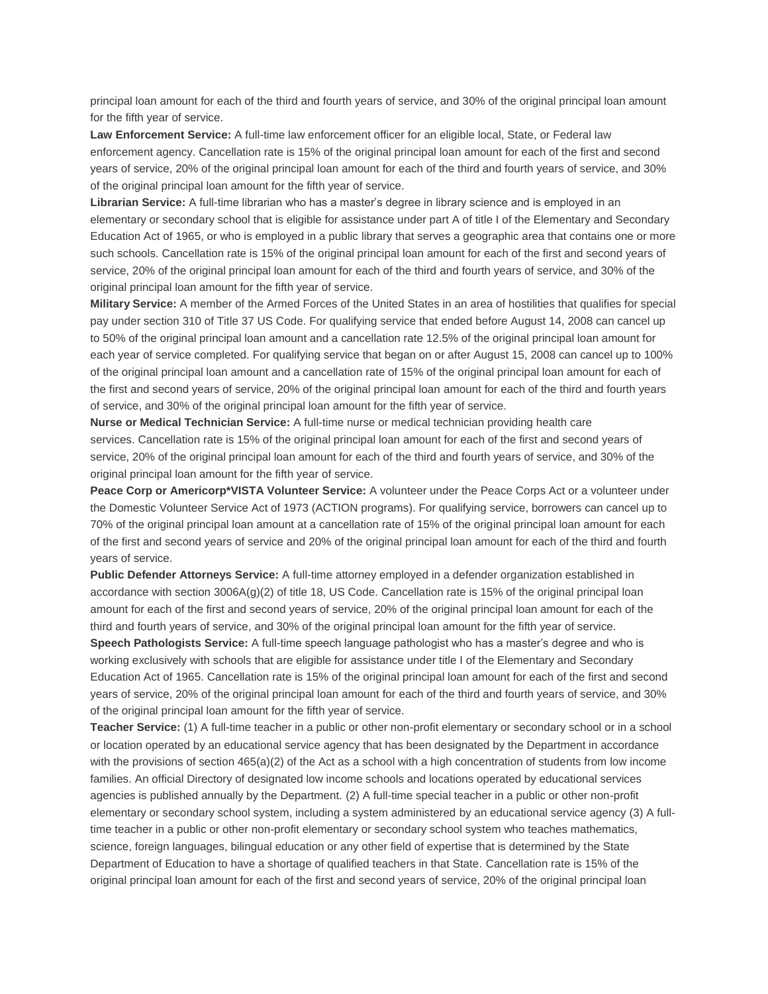principal loan amount for each of the third and fourth years of service, and 30% of the original principal loan amount for the fifth year of service.

**Law Enforcement Service:** A full-time law enforcement officer for an eligible local, State, or Federal law enforcement agency. Cancellation rate is 15% of the original principal loan amount for each of the first and second years of service, 20% of the original principal loan amount for each of the third and fourth years of service, and 30% of the original principal loan amount for the fifth year of service.

**Librarian Service:** A full-time librarian who has a master's degree in library science and is employed in an elementary or secondary school that is eligible for assistance under part A of title I of the Elementary and Secondary Education Act of 1965, or who is employed in a public library that serves a geographic area that contains one or more such schools. Cancellation rate is 15% of the original principal loan amount for each of the first and second years of service, 20% of the original principal loan amount for each of the third and fourth years of service, and 30% of the original principal loan amount for the fifth year of service.

**Military Service:** A member of the Armed Forces of the United States in an area of hostilities that qualifies for special pay under section 310 of Title 37 US Code. For qualifying service that ended before August 14, 2008 can cancel up to 50% of the original principal loan amount and a cancellation rate 12.5% of the original principal loan amount for each year of service completed. For qualifying service that began on or after August 15, 2008 can cancel up to 100% of the original principal loan amount and a cancellation rate of 15% of the original principal loan amount for each of the first and second years of service, 20% of the original principal loan amount for each of the third and fourth years of service, and 30% of the original principal loan amount for the fifth year of service.

**Nurse or Medical Technician Service:** A full-time nurse or medical technician providing health care services. Cancellation rate is 15% of the original principal loan amount for each of the first and second years of service, 20% of the original principal loan amount for each of the third and fourth years of service, and 30% of the original principal loan amount for the fifth year of service.

**Peace Corp or Americorp\*VISTA Volunteer Service:** A volunteer under the Peace Corps Act or a volunteer under the Domestic Volunteer Service Act of 1973 (ACTION programs). For qualifying service, borrowers can cancel up to 70% of the original principal loan amount at a cancellation rate of 15% of the original principal loan amount for each of the first and second years of service and 20% of the original principal loan amount for each of the third and fourth years of service.

**Public Defender Attorneys Service:** A full-time attorney employed in a defender organization established in accordance with section  $3006A(g)(2)$  of title 18, US Code. Cancellation rate is 15% of the original principal loan amount for each of the first and second years of service, 20% of the original principal loan amount for each of the third and fourth years of service, and 30% of the original principal loan amount for the fifth year of service.

**Speech Pathologists Service:** A full-time speech language pathologist who has a master's degree and who is working exclusively with schools that are eligible for assistance under title I of the Elementary and Secondary Education Act of 1965. Cancellation rate is 15% of the original principal loan amount for each of the first and second years of service, 20% of the original principal loan amount for each of the third and fourth years of service, and 30% of the original principal loan amount for the fifth year of service.

**Teacher Service:** (1) A full-time teacher in a public or other non-profit elementary or secondary school or in a school or location operated by an educational service agency that has been designated by the Department in accordance with the provisions of section 465(a)(2) of the Act as a school with a high concentration of students from low income families. An official Directory of designated low income schools and locations operated by educational services agencies is published annually by the Department. (2) A full-time special teacher in a public or other non-profit elementary or secondary school system, including a system administered by an educational service agency (3) A fulltime teacher in a public or other non-profit elementary or secondary school system who teaches mathematics, science, foreign languages, bilingual education or any other field of expertise that is determined by the State Department of Education to have a shortage of qualified teachers in that State. Cancellation rate is 15% of the original principal loan amount for each of the first and second years of service, 20% of the original principal loan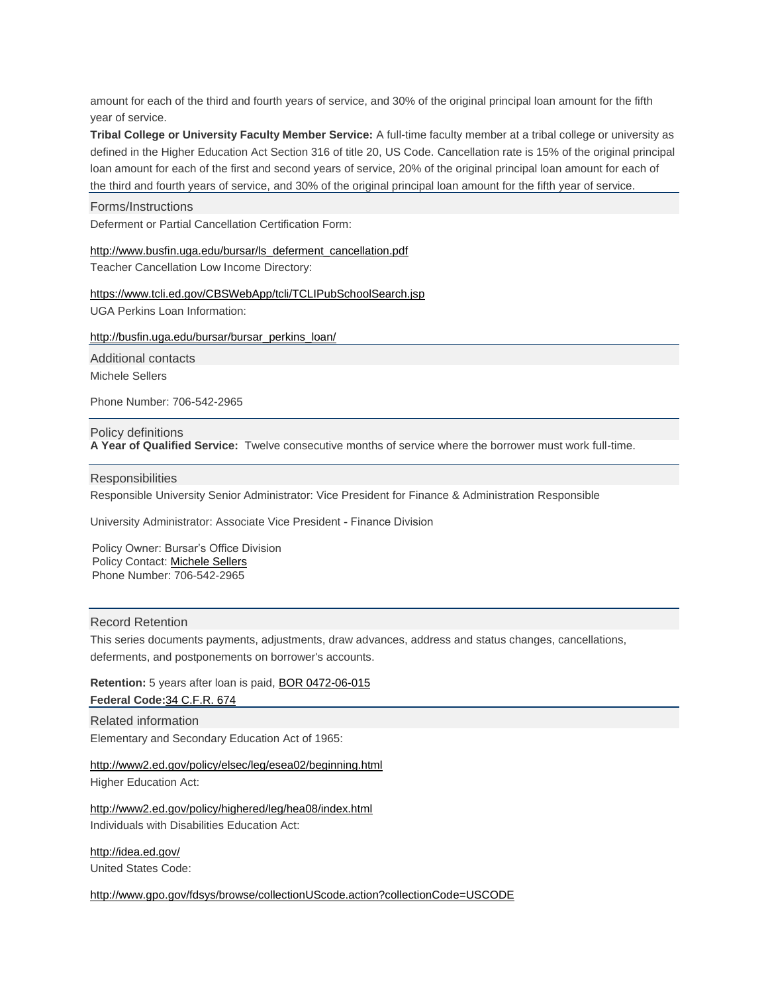amount for each of the third and fourth years of service, and 30% of the original principal loan amount for the fifth year of service.

**Tribal College or University Faculty Member Service:** A full-time faculty member at a tribal college or university as defined in the Higher Education Act Section 316 of title 20, US Code. Cancellation rate is 15% of the original principal loan amount for each of the first and second years of service, 20% of the original principal loan amount for each of the third and fourth years of service, and 30% of the original principal loan amount for the fifth year of service.

## Forms/Instructions

Deferment or Partial Cancellation Certification Form:

## http://www.busfin.uga.edu/bursar/ls\_deferment\_cancellation.pdf

Teacher Cancellation Low Income Directory:

## <https://www.tcli.ed.gov/CBSWebApp/tcli/TCLIPubSchoolSearch.jsp> UGA Perkins Loan Information:

## [http://busfin.uga.edu/bursar/bursar\\_perkins\\_loan/](http://busfin.uga.edu/bursar/bursar_perkins_loan/)

Additional contacts

Michele Sellers

Phone Number: 706-542-2965

### Policy definitions

**A Year of Qualified Service:** Twelve consecutive months of service where the borrower must work full-time.

#### **Responsibilities**

Responsible University Senior Administrator: Vice President for Finance & Administration Responsible

University Administrator: Associate Vice President - Finance Division

Policy Owner: Bursar's Office Division Policy Contact: Michele Sellers Phone Number: 706-[542-2965](mailto:amsell@uga.edu) 

### Record Retention

This series documents payments, adjustments, draw advances, address and status changes, cancellations, deferments, and postponements on borrower's accounts.

**Retention:** 5 years after loan is paid, BOR [0472-06-015](http://www.usg.edu/records_management/schedules/934) **Federal Code:**34 [C.F.R.](http://www.usg.edu/records_management/schedules/934) 674

Related information Elementary and Secondary Education Act of 1965:

## <http://www2.ed.gov/policy/elsec/leg/esea02/beginning.html>

Higher Education Act:

<http://www2.ed.gov/policy/highered/leg/hea08/index.html> Individuals with Disabilities Education Act:

<http://idea.ed.gov/> United States Code:

<http://www.gpo.gov/fdsys/browse/collectionUScode.action?collectionCode=USCODE>